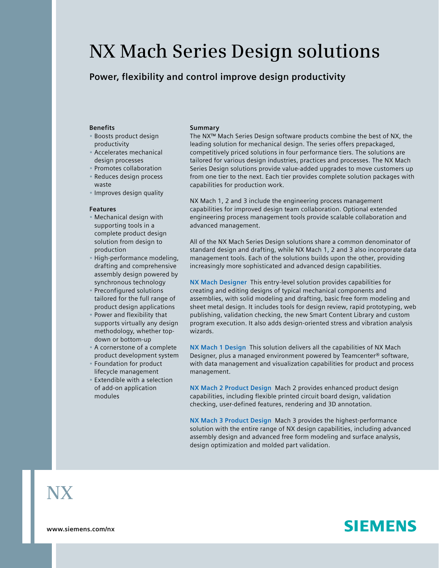# **NX Mach Series Design solutions**

# **Power, flexibility and control improve design productivity**

### **Benefits**

- Boosts product design productivity
- Accelerates mechanical design processes
- Promotes collaboration
- Reduces design process waste
- Improves design quality

#### **Features**

- Mechanical design with supporting tools in a complete product design solution from design to production
- High-performance modeling, drafting and comprehensive assembly design powered by synchronous technology
- Preconfigured solutions tailored for the full range of product design applications
- Power and flexibility that supports virtually any design methodology, whether topdown or bottom-up
- A cornerstone of a complete product development system
- Foundation for product lifecycle management
- Extendible with a selection of add-on application modules

#### **Summary**

The NX™ Mach Series Design software products combine the best of NX, the leading solution for mechanical design. The series offers prepackaged, competitively priced solutions in four performance tiers. The solutions are tailored for various design industries, practices and processes. The NX Mach Series Design solutions provide value-added upgrades to move customers up from one tier to the next. Each tier provides complete solution packages with capabilities for production work.

NX Mach 1, 2 and 3 include the engineering process management capabilities for improved design team collaboration. Optional extended engineering process management tools provide scalable collaboration and advanced management.

All of the NX Mach Series Design solutions share a common denominator of standard design and drafting, while NX Mach 1, 2 and 3 also incorporate data management tools. Each of the solutions builds upon the other, providing increasingly more sophisticated and advanced design capabilities.

**NX Mach Designer** This entry-level solution provides capabilities for creating and editing designs of typical mechanical components and assemblies, with solid modeling and drafting, basic free form modeling and sheet metal design. It includes tools for design review, rapid prototyping, web publishing, validation checking, the new Smart Content Library and custom program execution. It also adds design-oriented stress and vibration analysis wizards.

**NX Mach 1 Design** This solution delivers all the capabilities of NX Mach Designer, plus a managed environment powered by Teamcenter® software, with data management and visualization capabilities for product and process management.

**NX Mach 2 Product Design** Mach 2 provides enhanced product design capabilities, including flexible printed circuit board design, validation checking, user-defined features, rendering and 3D annotation.

**NX Mach 3 Product Design** Mach 3 provides the highest-performance solution with the entire range of NX design capabilities, including advanced assembly design and advanced free form modeling and surface analysis, design optimization and molded part validation.

# **NX**

**www.siemens.com/nx**

# **SIEMENS**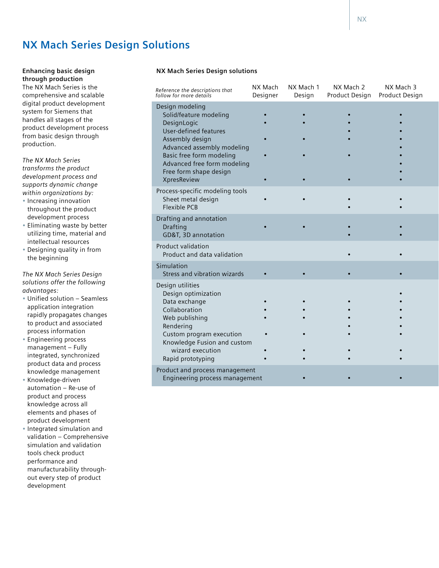# **NX Mach Series Design Solutions**

**Enhancing basic design through production** The NX Mach Series is the comprehensive and scalable digital product development system for Siemens that handles all stages of the product development process from basic design through production.

*The NX Mach Series transforms the product development process and supports dynamic change within organizations by:*

- Increasing innovation throughout the product development process
- Eliminating waste by better utilizing time, material and intellectual resources
- Designing quality in from the beginning

*The NX Mach Series Design solutions offer the following advantages:*

- Unified solution Seamless application integration rapidly propagates changes to product and associated process information
- Engineering process management – Fully integrated, synchronized product data and process knowledge management
- Knowledge-driven automation – Re-use of product and process knowledge across all elements and phases of product development
- Integrated simulation and validation – Comprehensive simulation and validation tools check product performance and manufacturability throughout every step of product development

# **NX Mach Series Design solutions**

| Reference the descriptions that<br>follow for more details                                                                                                                                                                                    | NX Mach<br>Designer | NX Mach 1<br>Design | NX Mach 2<br>Product Design | NX Mach 3<br>Product Design |
|-----------------------------------------------------------------------------------------------------------------------------------------------------------------------------------------------------------------------------------------------|---------------------|---------------------|-----------------------------|-----------------------------|
| Design modeling<br>Solid/feature modeling<br>DesignLogic<br><b>User-defined features</b><br>Assembly design<br>Advanced assembly modeling<br>Basic free form modeling<br>Advanced free form modeling<br>Free form shape design<br>XpresReview |                     |                     |                             |                             |
| Process-specific modeling tools<br>Sheet metal design<br><b>Flexible PCB</b>                                                                                                                                                                  |                     |                     |                             |                             |
| Drafting and annotation<br><b>Drafting</b><br>GD&T, 3D annotation                                                                                                                                                                             |                     |                     |                             |                             |
| Product validation<br>Product and data validation                                                                                                                                                                                             |                     |                     |                             |                             |
| Simulation<br>Stress and vibration wizards                                                                                                                                                                                                    |                     |                     |                             |                             |
| Design utilities<br>Design optimization<br>Data exchange<br>Collaboration<br>Web publishing<br>Rendering<br>Custom program execution<br>Knowledge Fusion and custom<br>wizard execution<br>Rapid prototyping                                  |                     |                     |                             |                             |
| Product and process management<br>Engineering process management                                                                                                                                                                              |                     |                     |                             |                             |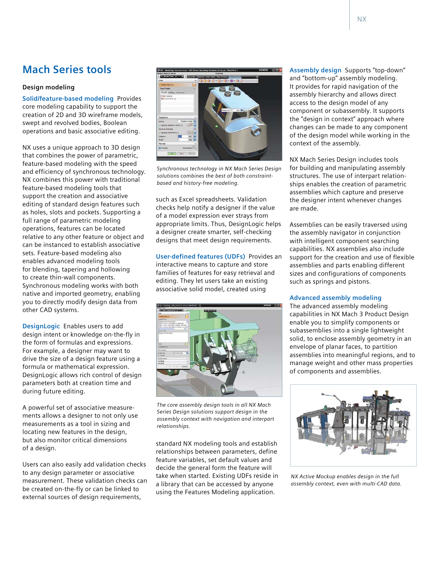# **Mach Series tools**

# **Design modeling**

**Solid/feature-based modeling** Provides core modeling capability to support the creation of 2D and 3D wireframe models, swept and revolved bodies, Boolean operations and basic associative editing.

NX uses a unique approach to 3D design that combines the power of parametric, feature-based modeling with the speed and efficiency of synchronous technology. NX combines this power with traditional feature-based modeling tools that support the creation and associative editing of standard design features such as holes, slots and pockets. Supporting a full range of parametric modeling operations, features can be located relative to any other feature or object and can be instanced to establish associative sets. Feature-based modeling also enables advanced modeling tools for blending, tapering and hollowing to create thin-wall components. Synchronous modeling works with both native and imported geometry, enabling you to directly modify design data from other CAD systems.

**DesignLogic** Enables users to add design intent or knowledge on-the-fly in the form of formulas and expressions. For example, a designer may want to drive the size of a design feature using a formula or mathematical expression. DesignLogic allows rich control of design parameters both at creation time and during future editing.

A powerful set of associative measurements allows a designer to not only use measurements as a tool in sizing and locating new features in the design, but also monitor critical dimensions of a design.

Users can also easily add validation checks to any design parameter or associative measurement. These validation checks can be created on-the-fly or can be linked to external sources of design requirements,



*Synchronous technology in NX Mach Series Design solutions combines the best of both constraintbased and history-free modeling.*

such as Excel spreadsheets. Validation checks help notify a designer if the value of a model expression ever strays from appropriate limits. Thus, DesignLogic helps a designer create smarter, self-checking designs that meet design requirements.

**User-defined features (UDFs)** Provides an interactive means to capture and store families of features for easy retrieval and editing. They let users take an existing associative solid model, created using



*The core assembly design tools in all NX Mach Series Design solutions support design in the assembly context with navigation and interpart relationships.*

standard NX modeling tools and establish relationships between parameters, define feature variables, set default values and decide the general form the feature will take when started. Existing UDFs reside in a library that can be accessed by anyone using the Features Modeling application.

**Assembly design** Supports "top-down" and "bottom-up" assembly modeling. It provides for rapid navigation of the assembly hierarchy and allows direct access to the design model of any component or subassembly. It supports the "design in context" approach where changes can be made to any component of the design model while working in the context of the assembly.

NX Mach Series Design includes tools for building and manipulating assembly structures. The use of interpart relationships enables the creation of parametric assemblies which capture and preserve the designer intent whenever changes are made.

Assemblies can be easily traversed using the assembly navigator in conjunction with intelligent component searching capabilities. NX assemblies also include support for the creation and use of flexible assemblies and parts enabling different sizes and configurations of components such as springs and pistons.

# **Advanced assembly modeling**

The advanced assembly modeling capabilities in NX Mach 3 Product Design enable you to simplify components or subassemblies into a single lightweight solid, to enclose assembly geometry in an envelope of planar faces, to partition assemblies into meaningful regions, and to manage weight and other mass properties of components and assemblies.



*NX Active Mockup enables design in the full assembly context, even with multi-CAD data.*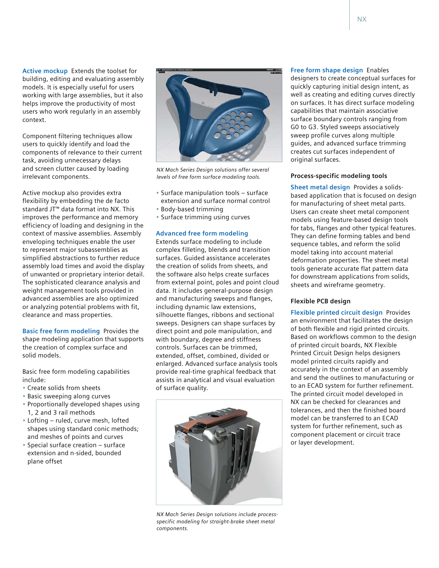**Active mockup** Extends the toolset for building, editing and evaluating assembly models. It is especially useful for users working with large assemblies, but it also helps improve the productivity of most users who work regularly in an assembly context.

Component filtering techniques allow users to quickly identify and load the components of relevance to their current task, avoiding unnecessary delays and screen clutter caused by loading irrelevant components.

Active mockup also provides extra flexibility by embedding the de facto standard JT™ data format into NX. This improves the performance and memory efficiency of loading and designing in the context of massive assemblies. Assembly enveloping techniques enable the user to represent major subassemblies as simplified abstractions to further reduce assembly load times and avoid the display of unwanted or proprietary interior detail. The sophisticated clearance analysis and weight management tools provided in advanced assemblies are also optimized or analyzing potential problems with fit, clearance and mass properties.

**Basic free form modeling** Provides the shape modeling application that supports the creation of complex surface and solid models.

Basic free form modeling capabilities include:

- Create solids from sheets
- Basic sweeping along curves
- Proportionally developed shapes using 1, 2 and 3 rail methods
- Lofting ruled, curve mesh, lofted shapes using standard conic methods; and meshes of points and curves
- Special surface creation surface extension and n-sided, bounded plane offset



*NX Mach Series Design solutions offer several levels of free form surface modeling tools.*

- Surface manipulation tools surface
- extension and surface normal control
- Body-based trimming
- Surface trimming using curves

# **Advanced free form modeling**

Extends surface modeling to include complex filleting, blends and transition surfaces. Guided assistance accelerates the creation of solids from sheets, and the software also helps create surfaces from external point, poles and point cloud data. It includes general-purpose design and manufacturing sweeps and flanges, including dynamic law extensions, silhouette flanges, ribbons and sectional sweeps. Designers can shape surfaces by direct point and pole manipulation, and with boundary, degree and stiffness controls. Surfaces can be trimmed, extended, offset, combined, divided or enlarged. Advanced surface analysis tools provide real-time graphical feedback that assists in analytical and visual evaluation of surface quality.



*NX Mach Series Design solutions include processspecific modeling for straight-brake sheet metal components.*

**Free form shape design** Enables designers to create conceptual surfaces for quickly capturing initial design intent, as well as creating and editing curves directly on surfaces. It has direct surface modeling capabilities that maintain associative surface boundary controls ranging from G0 to G3. Styled sweeps associatively sweep profile curves along multiple guides, and advanced surface trimming creates cut surfaces independent of

# **Process-specific modeling tools**

original surfaces.

**Sheet metal design** Provides a solidsbased application that is focused on design for manufacturing of sheet metal parts. Users can create sheet metal component models using feature-based design tools for tabs, flanges and other typical features. They can define forming tables and bend sequence tables, and reform the solid model taking into account material deformation properties. The sheet metal tools generate accurate flat pattern data for downstream applications from solids, sheets and wireframe geometry.

# **Flexible PCB design**

**Flexible printed circuit design** Provides an environment that facilitates the design of both flexible and rigid printed circuits. Based on workflows common to the design of printed circuit boards, NX Flexible Printed Circuit Design helps designers model printed circuits rapidly and accurately in the context of an assembly and send the outlines to manufacturing or to an ECAD system for further refinement. The printed circuit model developed in NX can be checked for clearances and tolerances, and then the finished board model can be transferred to an ECAD system for further refinement, such as component placement or circuit trace or layer development.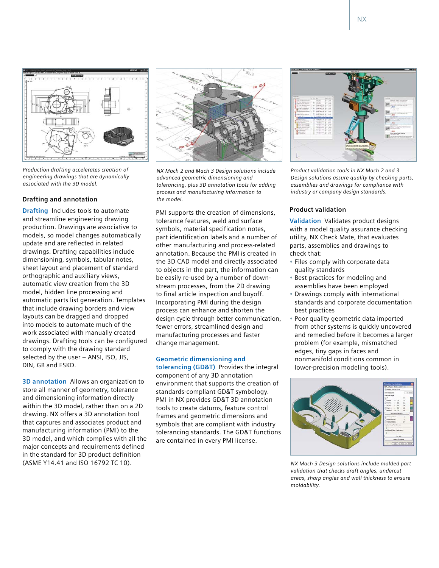

*Production drafting accelerates creation of engineering drawings that are dynamically associated with the 3D model.*

# **Drafting and annotation**

**Drafting** Includes tools to automate and streamline engineering drawing production. Drawings are associative to models, so model changes automatically update and are reflected in related drawings. Drafting capabilities include dimensioning, symbols, tabular notes, sheet layout and placement of standard orthographic and auxiliary views, automatic view creation from the 3D model, hidden line processing and automatic parts list generation. Templates that include drawing borders and view layouts can be dragged and dropped into models to automate much of the work associated with manually created drawings. Drafting tools can be configured to comply with the drawing standard selected by the user – ANSI, ISO, JIS, DIN, GB and ESKD.

**3D annotation** Allows an organization to store all manner of geometry, tolerance and dimensioning information directly within the 3D model, rather than on a 2D drawing. NX offers a 3D annotation tool that captures and associates product and manufacturing information (PMI) to the 3D model, and which complies with all the major concepts and requirements defined in the standard for 3D product definition (ASME Y14.41 and ISO 16792 TC 10).



*NX Mach 2 and Mach 3 Design solutions include advanced geometric dimensioning and tolerancing, plus 3D annotation tools for adding process and manufacturing information to the model.*

PMI supports the creation of dimensions, tolerance features, weld and surface symbols, material specification notes, part identification labels and a number of other manufacturing and process-related annotation. Because the PMI is created in the 3D CAD model and directly associated to objects in the part, the information can be easily re-used by a number of downstream processes, from the 2D drawing to final article inspection and buyoff. Incorporating PMI during the design process can enhance and shorten the design cycle through better communication, fewer errors, streamlined design and manufacturing processes and faster change management.

**Geometric dimensioning and tolerancing (GD&T)** Provides the integral component of any 3D annotation environment that supports the creation of standards-compliant GD&T symbology. PMI in NX provides GD&T 3D annotation tools to create datums, feature control frames and geometric dimensions and symbols that are compliant with industry tolerancing standards. The GD&T functions are contained in every PMI license.



*Product validation tools in NX Mach 2 and 3 Design solutions assure quality by checking parts, assemblies and drawings for compliance with industry or company design standards.*

## **Product validation**

**Validation** Validates product designs with a model quality assurance checking utility, NX Check Mate, that evaluates parts, assemblies and drawings to check that:

- Files comply with corporate data quality standards
- Best practices for modeling and assemblies have been employed
- Drawings comply with international standards and corporate documentation best practices
- Poor quality geometric data imported from other systems is quickly uncovered and remedied before it becomes a larger problem (for example, mismatched edges, tiny gaps in faces and nonmanifold conditions common in lower-precision modeling tools).



*NX Mach 3 Design solutions include molded part validation that checks draft angles, undercut areas, sharp angles and wall thickness to ensure moldability.*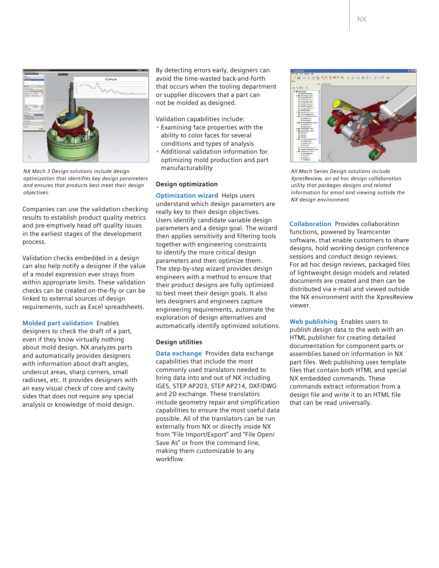

*NX Mach 3 Design solutions include design optimization that identifies key design parameters and ensures that products best meet their design objectives.*

Companies can use the validation checking results to establish product quality metrics and pre-emptively head off quality issues in the earliest stages of the development process.

Validation checks embedded in a design can also help notify a designer if the value of a model expression ever strays from within appropriate limits. These validation checks can be created on-the-fly or can be linked to external sources of design requirements, such as Excel spreadsheets.

**Molded part validation** Enables designers to check the draft of a part, even if they know virtually nothing about mold design. NX analyzes parts and automatically provides designers with information about draft angles, undercut areas, sharp corners, small radiuses, etc. It provides designers with an easy visual check of core and cavity sides that does not require any special analysis or knowledge of mold design.

By detecting errors early, designers can avoid the time-wasted back-and-forth that occurs when the tooling department or supplier discovers that a part can not be molded as designed.

Validation capabilities include:

- Examining face properties with the ability to color faces for several conditions and types of analysis
- Additional validation information for optimizing mold production and part manufacturability

### **Design optimization**

**Optimization wizard** Helps users understand which design parameters are really key to their design objectives. Users identify candidate variable design parameters and a design goal. The wizard then applies sensitivity and filtering tools together with engineering constraints to identify the more critical design parameters and then optimize them. The step-by-step wizard provides design engineers with a method to ensure that their product designs are fully optimized to best meet their design goals. It also lets designers and engineers capture engineering requirements, automate the exploration of design alternatives and automatically identify optimized solutions.

# **Design utilities**

**Data exchange** Provides data exchange capabilities that include the most commonly used translators needed to bring data into and out of NX including IGES, STEP AP203, STEP AP214, DXF/DWG and 2D exchange. These translators include geometry repair and simplification capabilities to ensure the most useful data possible. All of the translators can be run externally from NX or directly inside NX from "File Import/Export" and "File Open/ Save As" or from the command line, making them customizable to any workflow.

SALTERS TO A GRANDER



*All Mach Series Design solutions include XpresReview, an ad hoc design collaboration utility that packages designs and related information for email and viewing outside the NX design environment.*

**Collaboration** Provides collaboration functions, powered by Teamcenter software, that enable customers to share designs, hold working design conference sessions and conduct design reviews. For ad hoc design reviews, packaged files of lightweight design models and related documents are created and then can be distributed via e-mail and viewed outside the NX environment with the XpresReview viewer.

**Web publishing** Enables users to publish design data to the web with an HTML publisher for creating detailed documentation for component parts or assemblies based on information in NX part files. Web publishing uses template files that contain both HTML and special NX embedded commands. These commands extract information from a design file and write it to an HTML file that can be read universally.